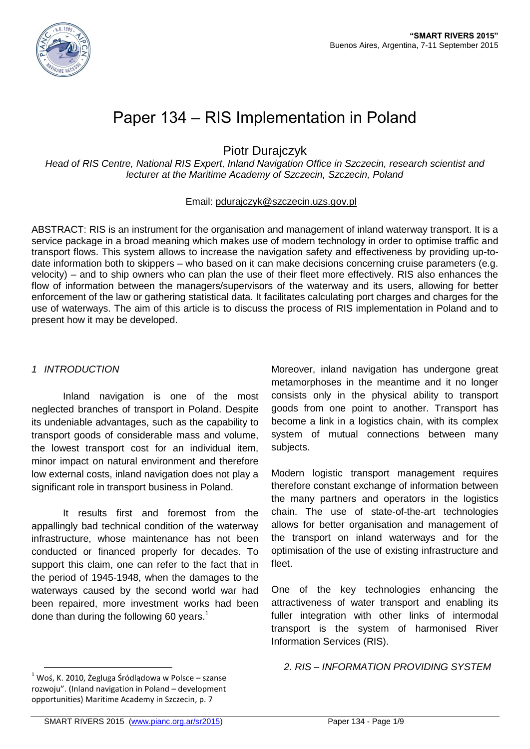

# Paper 134 – RIS Implementation in Poland

Piotr Durajczyk

*Head of RIS Centre, National RIS Expert, Inland Navigation Office in Szczecin, research scientist and lecturer at the Maritime Academy of Szczecin, Szczecin, Poland*

#### Email: [pdurajczyk@szczecin.uzs.gov.pl](mailto:pdurajczyk@szczecin.uzs.gov.pl)

ABSTRACT: RIS is an instrument for the organisation and management of inland waterway transport. It is a service package in a broad meaning which makes use of modern technology in order to optimise traffic and transport flows. This system allows to increase the navigation safety and effectiveness by providing up-todate information both to skippers – who based on it can make decisions concerning cruise parameters (e.g. velocity) – and to ship owners who can plan the use of their fleet more effectively. RIS also enhances the flow of information between the managers/supervisors of the waterway and its users, allowing for better enforcement of the law or gathering statistical data. It facilitates calculating port charges and charges for the use of waterways. The aim of this article is to discuss the process of RIS implementation in Poland and to present how it may be developed.

#### *1 INTRODUCTION*

Inland navigation is one of the most neglected branches of transport in Poland. Despite its undeniable advantages, such as the capability to transport goods of considerable mass and volume, the lowest transport cost for an individual item, minor impact on natural environment and therefore low external costs, inland navigation does not play a significant role in transport business in Poland.

It results first and foremost from the appallingly bad technical condition of the waterway infrastructure, whose maintenance has not been conducted or financed properly for decades. To support this claim, one can refer to the fact that in the period of 1945-1948, when the damages to the waterways caused by the second world war had been repaired, more investment works had been done than during the following 60 years.<sup>1</sup>

Moreover, inland navigation has undergone great metamorphoses in the meantime and it no longer consists only in the physical ability to transport goods from one point to another. Transport has become a link in a logistics chain, with its complex system of mutual connections between many subjects.

Modern logistic transport management requires therefore constant exchange of information between the many partners and operators in the logistics chain. The use of state-of-the-art technologies allows for better organisation and management of the transport on inland waterways and for the optimisation of the use of existing infrastructure and fleet.

One of the key technologies enhancing the attractiveness of water transport and enabling its fuller integration with other links of intermodal transport is the system of harmonised River Information Services (RIS).

*2. RIS – INFORMATION PROVIDING SYSTEM*

 $\overline{a}$ 

 $1$  Woś, K. 2010, Żegluga Śródlądowa w Polsce – szanse rozwoju". (Inland navigation in Poland – development opportunities) Maritime Academy in Szczecin, p. 7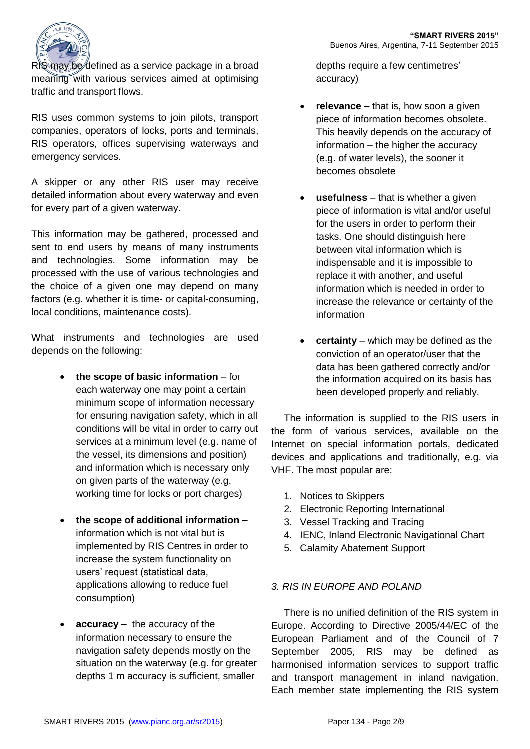

RIS may be defined as a service package in a broad meaning with various services aimed at optimising traffic and transport flows.

RIS uses common systems to join pilots, transport companies, operators of locks, ports and terminals, RIS operators, offices supervising waterways and emergency services.

A skipper or any other RIS user may receive detailed information about every waterway and even for every part of a given waterway.

This information may be gathered, processed and sent to end users by means of many instruments and technologies. Some information may be processed with the use of various technologies and the choice of a given one may depend on many factors (e.g. whether it is time- or capital-consuming, local conditions, maintenance costs).

What instruments and technologies are used depends on the following:

- **the scope of basic information** for each waterway one may point a certain minimum scope of information necessary for ensuring navigation safety, which in all conditions will be vital in order to carry out services at a minimum level (e.g. name of the vessel, its dimensions and position) and information which is necessary only on given parts of the waterway (e.g. working time for locks or port charges)
- **the scope of additional information –** information which is not vital but is implemented by RIS Centres in order to increase the system functionality on users' request (statistical data, applications allowing to reduce fuel consumption)
- **accuracy –** the accuracy of the information necessary to ensure the navigation safety depends mostly on the situation on the waterway (e.g. for greater depths 1 m accuracy is sufficient, smaller

depths require a few centimetres' accuracy)

- **relevance** that is, how soon a given piece of information becomes obsolete. This heavily depends on the accuracy of information – the higher the accuracy (e.g. of water levels), the sooner it becomes obsolete
- **usefulness** that is whether a given piece of information is vital and/or useful for the users in order to perform their tasks. One should distinguish here between vital information which is indispensable and it is impossible to replace it with another, and useful information which is needed in order to increase the relevance or certainty of the information
- **certainty**  which may be defined as the conviction of an operator/user that the data has been gathered correctly and/or the information acquired on its basis has been developed properly and reliably.

The information is supplied to the RIS users in the form of various services, available on the Internet on special information portals, dedicated devices and applications and traditionally, e.g. via VHF. The most popular are:

- 1. Notices to Skippers
- 2. Electronic Reporting International
- 3. Vessel Tracking and Tracing
- 4. IENC, Inland Electronic Navigational Chart
- 5. Calamity Abatement Support

# *3. RIS IN EUROPE AND POLAND*

There is no unified definition of the RIS system in Europe. According to Directive 2005/44/EC of the European Parliament and of the Council of 7 September 2005, RIS may be defined as harmonised information services to support traffic and transport management in inland navigation. Each member state implementing the RIS system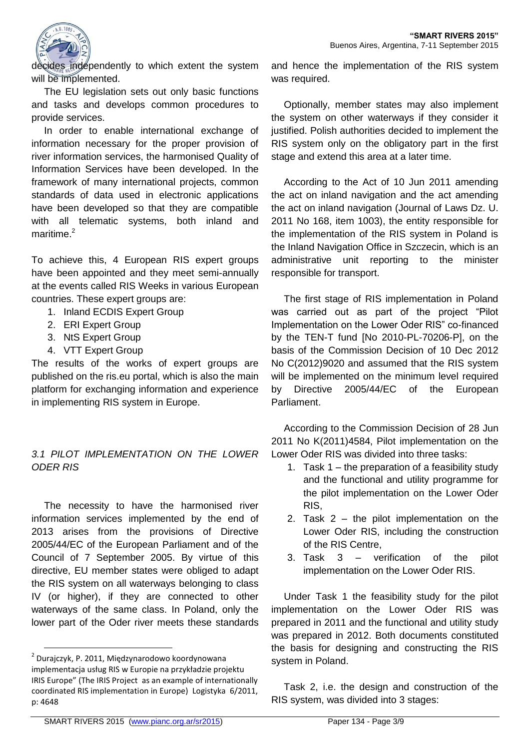

decides independently to which extent the system will be implemented.

The EU legislation sets out only basic functions and tasks and develops common procedures to provide services.

In order to enable international exchange of information necessary for the proper provision of river information services, the harmonised Quality of Information Services have been developed. In the framework of many international projects, common standards of data used in electronic applications have been developed so that they are compatible with all telematic systems, both inland and maritime.<sup>2</sup>

To achieve this, 4 European RIS expert groups have been appointed and they meet semi-annually at the events called RIS Weeks in various European countries. These expert groups are:

- 1. Inland ECDIS Expert Group
- 2. ERI Expert Group
- 3. NtS Expert Group
- 4. VTT Expert Group

The results of the works of expert groups are published on the ris.eu portal, which is also the main platform for exchanging information and experience in implementing RIS system in Europe.

## *3.1 PILOT IMPLEMENTATION ON THE LOWER ODER RIS*

The necessity to have the harmonised river information services implemented by the end of 2013 arises from the provisions of Directive 2005/44/EC of the European Parliament and of the Council of 7 September 2005. By virtue of this directive, EU member states were obliged to adapt the RIS system on all waterways belonging to class IV (or higher), if they are connected to other waterways of the same class. In Poland, only the lower part of the Oder river meets these standards

and hence the implementation of the RIS system was required.

Optionally, member states may also implement the system on other waterways if they consider it justified. Polish authorities decided to implement the RIS system only on the obligatory part in the first stage and extend this area at a later time.

According to the Act of 10 Jun 2011 amending the act on inland navigation and the act amending the act on inland navigation (Journal of Laws Dz. U. 2011 No 168, item 1003), the entity responsible for the implementation of the RIS system in Poland is the Inland Navigation Office in Szczecin, which is an administrative unit reporting to the minister responsible for transport.

The first stage of RIS implementation in Poland was carried out as part of the project "Pilot Implementation on the Lower Oder RIS" co-financed by the TEN-T fund [No 2010-PL-70206-P], on the basis of the Commission Decision of 10 Dec 2012 No C(2012)9020 and assumed that the RIS system will be implemented on the minimum level required by Directive 2005/44/EC of the European Parliament.

According to the Commission Decision of 28 Jun 2011 No K(2011)4584, Pilot implementation on the Lower Oder RIS was divided into three tasks:

- 1. Task 1 the preparation of a feasibility study and the functional and utility programme for the pilot implementation on the Lower Oder RIS,
- 2. Task 2 the pilot implementation on the Lower Oder RIS, including the construction of the RIS Centre,
- 3. Task 3 verification of the pilot implementation on the Lower Oder RIS.

Under Task 1 the feasibility study for the pilot implementation on the Lower Oder RIS was prepared in 2011 and the functional and utility study was prepared in 2012. Both documents constituted the basis for designing and constructing the RIS system in Poland.

Task 2, i.e. the design and construction of the RIS system, was divided into 3 stages:

 $\overline{a}$ 

<sup>2</sup> Durajczyk, P. 2011, Międzynarodowo koordynowana implementacja usług RIS w Europie na przykładzie projektu IRIS Europe" (The IRIS Project as an example of internationally coordinated RIS implementation in Europe) Logistyka 6/2011, p: 4648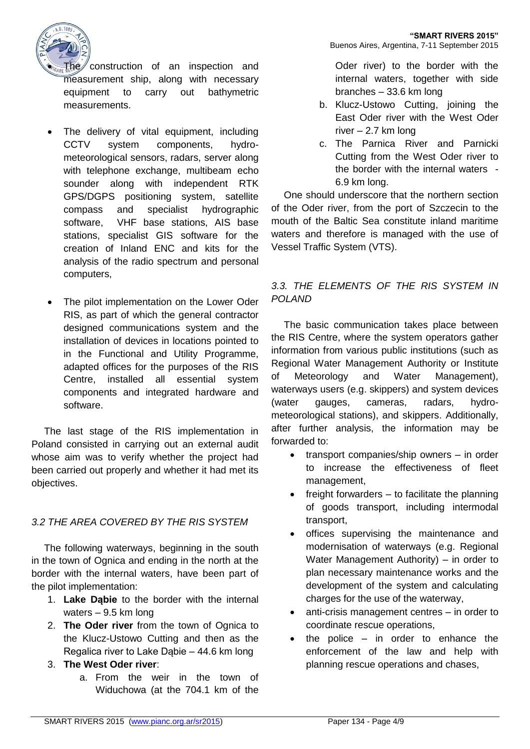

 $Fh$ e construction of an inspection and measurement ship, along with necessary equipment to carry out bathymetric measurements.

- The delivery of vital equipment, including CCTV system components, hydrometeorological sensors, radars, server along with telephone exchange, multibeam echo sounder along with independent RTK GPS/DGPS positioning system, satellite compass and specialist hydrographic software, VHF base stations, AIS base stations, specialist GIS software for the creation of Inland ENC and kits for the analysis of the radio spectrum and personal computers,
- The pilot implementation on the Lower Oder RIS, as part of which the general contractor designed communications system and the installation of devices in locations pointed to in the Functional and Utility Programme, adapted offices for the purposes of the RIS Centre, installed all essential system components and integrated hardware and software.

The last stage of the RIS implementation in Poland consisted in carrying out an external audit whose aim was to verify whether the project had been carried out properly and whether it had met its objectives.

## *3.2 THE AREA COVERED BY THE RIS SYSTEM*

The following waterways, beginning in the south in the town of Ognica and ending in the north at the border with the internal waters, have been part of the pilot implementation:

- 1. **Lake Dąbie** to the border with the internal waters – 9.5 km long
- 2. **The Oder river** from the town of Ognica to the Klucz-Ustowo Cutting and then as the Regalica river to Lake Dąbie – 44.6 km long
- 3. **The West Oder river**:
	- a. From the weir in the town of Widuchowa (at the 704.1 km of the

Oder river) to the border with the internal waters, together with side branches – 33.6 km long

- b. Klucz-Ustowo Cutting, joining the East Oder river with the West Oder river – 2.7 km long
- c. The Parnica River and Parnicki Cutting from the West Oder river to the border with the internal waters - 6.9 km long.

One should underscore that the northern section of the Oder river, from the port of Szczecin to the mouth of the Baltic Sea constitute inland maritime waters and therefore is managed with the use of Vessel Traffic System (VTS).

# *3.3. THE ELEMENTS OF THE RIS SYSTEM IN POLAND*

The basic communication takes place between the RIS Centre, where the system operators gather information from various public institutions (such as Regional Water Management Authority or Institute of Meteorology and Water Management), waterways users (e.g. skippers) and system devices (water gauges, cameras, radars, hydrometeorological stations), and skippers. Additionally, after further analysis, the information may be forwarded to:

- transport companies/ship owners in order to increase the effectiveness of fleet management,
- $\bullet$  freight forwarders  $-$  to facilitate the planning of goods transport, including intermodal transport,
- offices supervising the maintenance and modernisation of waterways (e.g. Regional Water Management Authority) – in order to plan necessary maintenance works and the development of the system and calculating charges for the use of the waterway,
- anti-crisis management centres in order to coordinate rescue operations,
- $\bullet$  the police in order to enhance the enforcement of the law and help with planning rescue operations and chases,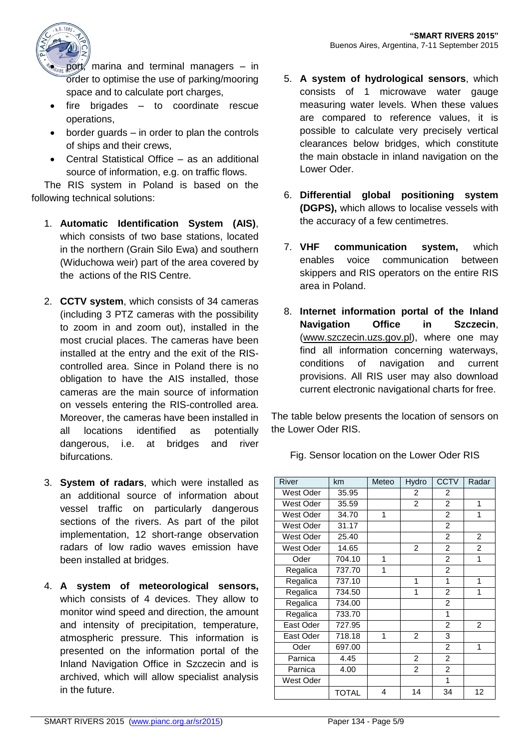

port, marina and terminal managers  $-$  in order to optimise the use of parking/mooring space and to calculate port charges,

- $\bullet$  fire brigades  $-$  to coordinate rescue operations,
- border guards in order to plan the controls of ships and their crews,
- Central Statistical Office as an additional source of information, e.g. on traffic flows.

The RIS system in Poland is based on the following technical solutions:

- 1. **Automatic Identification System (AIS)**, which consists of two base stations, located in the northern (Grain Silo Ewa) and southern (Widuchowa weir) part of the area covered by the actions of the RIS Centre.
- 2. **CCTV system**, which consists of 34 cameras (including 3 PTZ cameras with the possibility to zoom in and zoom out), installed in the most crucial places. The cameras have been installed at the entry and the exit of the RIScontrolled area. Since in Poland there is no obligation to have the AIS installed, those cameras are the main source of information on vessels entering the RIS-controlled area. Moreover, the cameras have been installed in all locations identified as potentially dangerous, i.e. at bridges and river bifurcations.
- 3. **System of radars**, which were installed as an additional source of information about vessel traffic on particularly dangerous sections of the rivers. As part of the pilot implementation, 12 short-range observation radars of low radio waves emission have been installed at bridges.
- 4. **A system of meteorological sensors,**  which consists of 4 devices. They allow to monitor wind speed and direction, the amount and intensity of precipitation, temperature, atmospheric pressure. This information is presented on the information portal of the Inland Navigation Office in Szczecin and is archived, which will allow specialist analysis in the future.
- 5. **A system of hydrological sensors**, which consists of 1 microwave water gauge measuring water levels. When these values are compared to reference values, it is possible to calculate very precisely vertical clearances below bridges, which constitute the main obstacle in inland navigation on the Lower Oder.
- 6. **Differential global positioning system (DGPS),** which allows to localise vessels with the accuracy of a few centimetres.
- 7. **VHF communication system,** which enables voice communication between skippers and RIS operators on the entire RIS area in Poland.
- 8. **Internet information portal of the Inland Navigation Office in Szczecin**, [\(www.szczecin.uzs.gov.pl\)](http://www.szczecin.uzs.gov.pl/), where one may find all information concerning waterways, conditions of navigation and current provisions. All RIS user may also download current electronic navigational charts for free.

The table below presents the location of sensors on the Lower Oder RIS.

| River     | km           | Meteo | Hydro          | <b>CCTV</b>    | Radar          |
|-----------|--------------|-------|----------------|----------------|----------------|
| West Oder | 35.95        |       | $\overline{2}$ | 2              |                |
| West Oder | 35.59        |       | $\overline{2}$ | $\overline{2}$ | 1              |
| West Oder | 34.70        | 1     |                | 2              | 1              |
| West Oder | 31.17        |       |                | $\overline{c}$ |                |
| West Oder | 25.40        |       |                | $\overline{2}$ | $\overline{2}$ |
| West Oder | 14.65        |       | $\overline{2}$ | $\overline{2}$ | $\overline{2}$ |
| Oder      | 704.10       | 1     |                | $\overline{c}$ | 1              |
| Regalica  | 737.70       | 1     |                | $\overline{2}$ |                |
| Regalica  | 737.10       |       | 1              | 1              | 1              |
| Regalica  | 734.50       |       | 1              | 2              | 1              |
| Regalica  | 734.00       |       |                | $\overline{2}$ |                |
| Regalica  | 733.70       |       |                | 1              |                |
| East Oder | 727.95       |       |                | $\overline{2}$ | $\overline{2}$ |
| East Oder | 718.18       | 1     | $\overline{2}$ | 3              |                |
| Oder      | 697.00       |       |                | 2              | 1              |
| Parnica   | 4.45         |       | $\overline{2}$ | $\overline{2}$ |                |
| Parnica   | 4.00         |       | $\overline{2}$ | $\overline{c}$ |                |
| West Oder |              |       |                | 1              |                |
|           | <b>TOTAL</b> | 4     | 14             | 34             | 12             |

Fig. Sensor location on the Lower Oder RIS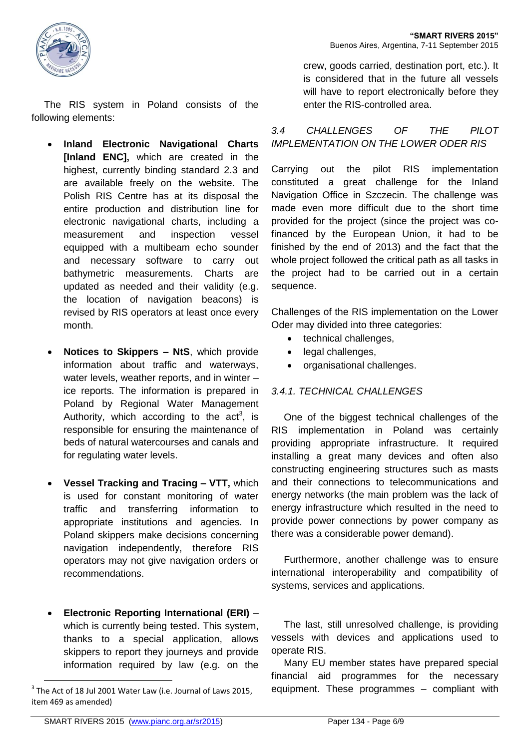

- **Inland Electronic Navigational Charts [Inland ENC],** which are created in the highest, currently binding standard 2.3 and are available freely on the website. The Polish RIS Centre has at its disposal the entire production and distribution line for electronic navigational charts, including a measurement and inspection vessel equipped with a multibeam echo sounder and necessary software to carry out bathymetric measurements. Charts are updated as needed and their validity (e.g. the location of navigation beacons) is revised by RIS operators at least once every month.
- **Notices to Skippers – NtS**, which provide information about traffic and waterways, water levels, weather reports, and in winter – ice reports. The information is prepared in Poland by Regional Water Management Authority, which according to the  $act<sup>3</sup>$ , is responsible for ensuring the maintenance of beds of natural watercourses and canals and for regulating water levels.
- **Vessel Tracking and Tracing – VTT,** which is used for constant monitoring of water traffic and transferring information to appropriate institutions and agencies. In Poland skippers make decisions concerning navigation independently, therefore RIS operators may not give navigation orders or recommendations.
- **Electronic Reporting International (ERI)** which is currently being tested. This system, thanks to a special application, allows skippers to report they journeys and provide information required by law (e.g. on the

crew, goods carried, destination port, etc.). It is considered that in the future all vessels will have to report electronically before they enter the RIS-controlled area.

# *3.4 CHALLENGES OF THE PILOT IMPLEMENTATION ON THE LOWER ODER RIS*

Carrying out the pilot RIS implementation constituted a great challenge for the Inland Navigation Office in Szczecin. The challenge was made even more difficult due to the short time provided for the project (since the project was cofinanced by the European Union, it had to be finished by the end of 2013) and the fact that the whole project followed the critical path as all tasks in the project had to be carried out in a certain sequence.

Challenges of the RIS implementation on the Lower Oder may divided into three categories:

- technical challenges.
- legal challenges,
- organisational challenges.

## *3.4.1. TECHNICAL CHALLENGES*

One of the biggest technical challenges of the RIS implementation in Poland was certainly providing appropriate infrastructure. It required installing a great many devices and often also constructing engineering structures such as masts and their connections to telecommunications and energy networks (the main problem was the lack of energy infrastructure which resulted in the need to provide power connections by power company as there was a considerable power demand).

Furthermore, another challenge was to ensure international interoperability and compatibility of systems, services and applications.

The last, still unresolved challenge, is providing vessels with devices and applications used to operate RIS.

Many EU member states have prepared special financial aid programmes for the necessary equipment. These programmes – compliant with

 $\overline{a}$ 

 $3$  The Act of 18 Jul 2001 Water Law (i.e. Journal of Laws 2015, item 469 as amended)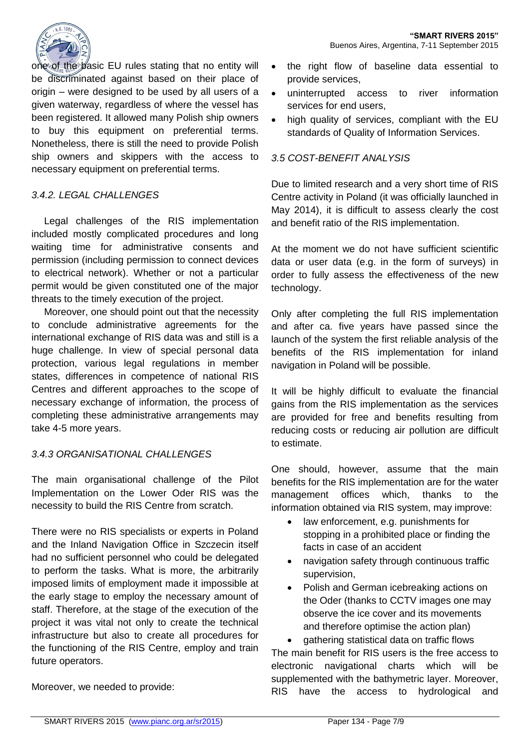

one of the basic EU rules stating that no entity will be discriminated against based on their place of origin – were designed to be used by all users of a given waterway, regardless of where the vessel has been registered. It allowed many Polish ship owners to buy this equipment on preferential terms. Nonetheless, there is still the need to provide Polish ship owners and skippers with the access to necessary equipment on preferential terms.

#### *3.4.2. LEGAL CHALLENGES*

Legal challenges of the RIS implementation included mostly complicated procedures and long waiting time for administrative consents and permission (including permission to connect devices to electrical network). Whether or not a particular permit would be given constituted one of the major threats to the timely execution of the project.

Moreover, one should point out that the necessity to conclude administrative agreements for the international exchange of RIS data was and still is a huge challenge. In view of special personal data protection, various legal regulations in member states, differences in competence of national RIS Centres and different approaches to the scope of necessary exchange of information, the process of completing these administrative arrangements may take 4-5 more years.

#### *3.4.3 ORGANISATIONAL CHALLENGES*

The main organisational challenge of the Pilot Implementation on the Lower Oder RIS was the necessity to build the RIS Centre from scratch.

There were no RIS specialists or experts in Poland and the Inland Navigation Office in Szczecin itself had no sufficient personnel who could be delegated to perform the tasks. What is more, the arbitrarily imposed limits of employment made it impossible at the early stage to employ the necessary amount of staff. Therefore, at the stage of the execution of the project it was vital not only to create the technical infrastructure but also to create all procedures for the functioning of the RIS Centre, employ and train future operators.

- the right flow of baseline data essential to provide services,
- uninterrupted access to river information services for end users,
- high quality of services, compliant with the EU standards of Quality of Information Services.

#### *3.5 COST-BENEFIT ANALYSIS*

Due to limited research and a very short time of RIS Centre activity in Poland (it was officially launched in May 2014), it is difficult to assess clearly the cost and benefit ratio of the RIS implementation.

At the moment we do not have sufficient scientific data or user data (e.g. in the form of surveys) in order to fully assess the effectiveness of the new technology.

Only after completing the full RIS implementation and after ca. five years have passed since the launch of the system the first reliable analysis of the benefits of the RIS implementation for inland navigation in Poland will be possible.

It will be highly difficult to evaluate the financial gains from the RIS implementation as the services are provided for free and benefits resulting from reducing costs or reducing air pollution are difficult to estimate.

One should, however, assume that the main benefits for the RIS implementation are for the water management offices which, thanks to the information obtained via RIS system, may improve:

- law enforcement, e.g. punishments for stopping in a prohibited place or finding the facts in case of an accident
- navigation safety through continuous traffic supervision,
- Polish and German icebreaking actions on the Oder (thanks to CCTV images one may observe the ice cover and its movements and therefore optimise the action plan)

 gathering statistical data on traffic flows The main benefit for RIS users is the free access to electronic navigational charts which will be supplemented with the bathymetric layer. Moreover, RIS have the access to hydrological and

Moreover, we needed to provide: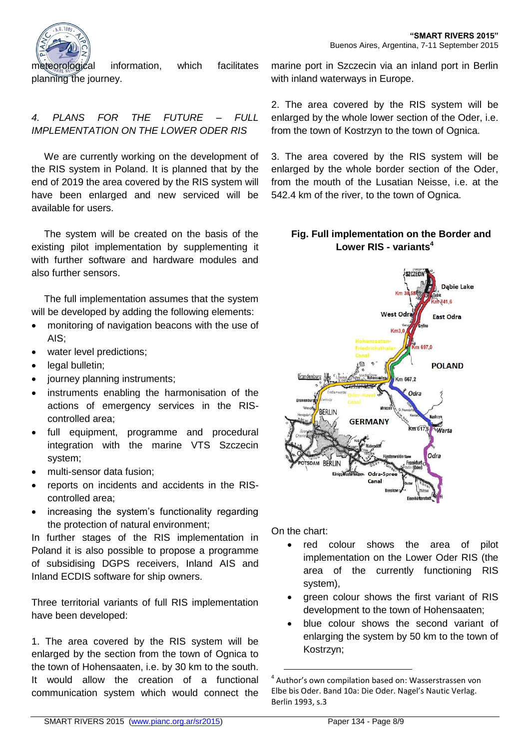

meteorological information, which facilitates planning the journey.

# *4. PLANS FOR THE FUTURE – FULL IMPLEMENTATION ON THE LOWER ODER RIS*

We are currently working on the development of the RIS system in Poland. It is planned that by the end of 2019 the area covered by the RIS system will have been enlarged and new serviced will be available for users.

The system will be created on the basis of the existing pilot implementation by supplementing it with further software and hardware modules and also further sensors.

The full implementation assumes that the system will be developed by adding the following elements:

- monitoring of navigation beacons with the use of AIS;
- water level predictions;
- legal bulletin;
- journey planning instruments;
- instruments enabling the harmonisation of the actions of emergency services in the RIScontrolled area;
- full equipment, programme and procedural integration with the marine VTS Szczecin system;
- multi-sensor data fusion;
- reports on incidents and accidents in the RIScontrolled area;
- increasing the system's functionality regarding the protection of natural environment;

In further stages of the RIS implementation in Poland it is also possible to propose a programme of subsidising DGPS receivers, Inland AIS and Inland ECDIS software for ship owners.

Three territorial variants of full RIS implementation have been developed:

1. The area covered by the RIS system will be enlarged by the section from the town of Ognica to the town of Hohensaaten, i.e. by 30 km to the south. It would allow the creation of a functional communication system which would connect the

marine port in Szczecin via an inland port in Berlin with inland waterways in Europe.

2. The area covered by the RIS system will be enlarged by the whole lower section of the Oder, i.e. from the town of Kostrzyn to the town of Ognica.

3. The area covered by the RIS system will be enlarged by the whole border section of the Oder, from the mouth of the Lusatian Neisse, i.e. at the 542.4 km of the river, to the town of Ognica.

## **Fig. Full implementation on the Border and Lower RIS - variants<sup>4</sup>**



On the chart:

1

- red colour shows the area of pilot implementation on the Lower Oder RIS (the area of the currently functioning RIS system),
- green colour shows the first variant of RIS development to the town of Hohensaaten;
- blue colour shows the second variant of enlarging the system by 50 km to the town of Kostrzyn;

<sup>4</sup> Author's own compilation based on: Wasserstrassen von Elbe bis Oder. Band 10a: Die Oder. Nagel's Nautic Verlag. Berlin 1993, s.3